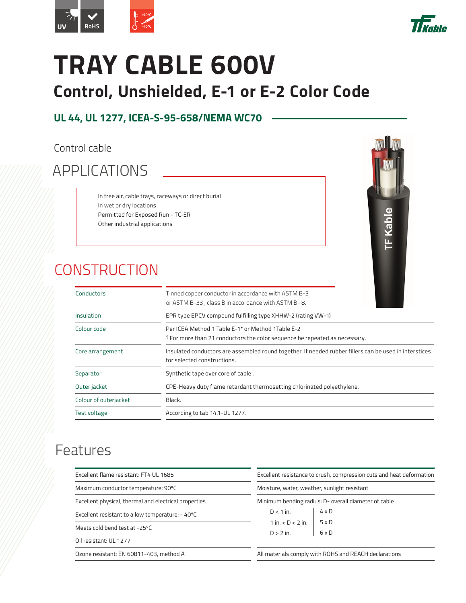



## **TRAY CABLE 600V Control, Unshielded, E-1 or E-2 Color Code**

### **UL 44, UL 1277, ICEA-S-95-658/NEMA WC70**

Control cable

## APPLICATIONS

In free air, cable trays, raceways or direct burial In wet or dry locations Permitted for Exposed Run - TC-ER Other industrial applications

## **CONSTRUCTION**



| Conductors            | Tinned copper conductor in accordance with ASTM B-3<br>or ASTM B-33, class B in accordance with ASTM B-8.                             |
|-----------------------|---------------------------------------------------------------------------------------------------------------------------------------|
| Insulation            | EPR type EPCV compound fulfilling type XHHW-2 (rating VW-1)                                                                           |
| Colour code           | Per ICEA Method 1 Table E-1* or Method 1 Table E-2<br>*) For more than 21 conductors the color sequence be repeated as necessary.     |
| Core arrangement      | Insulated conductors are assembled round together. If needed rubber fillers can be used in interstices<br>for selected constructions. |
| Separator             | Synthetic tape over core of cable.                                                                                                    |
| Outer jacket          | CPE-Heavy duty flame retardant thermosetting chlorinated polyethylene.                                                                |
| Colour of outerjacket | Black.                                                                                                                                |
| <b>Test voltage</b>   | According to tab 14.1-UL 1277.                                                                                                        |

### Features

| Excellent flame resistant: FT4 UL 1685                |                              | Excellent resistance to crush, compression cuts and heat deformation<br>Moisture, water, weather, sunlight resistant |  |  |  |
|-------------------------------------------------------|------------------------------|----------------------------------------------------------------------------------------------------------------------|--|--|--|
| Maximum conductor temperature: 90°C                   |                              |                                                                                                                      |  |  |  |
| Excellent physical, thermal and electrical properties |                              | Minimum bending radius: D- overall diameter of cable                                                                 |  |  |  |
| Excellent resistant to a low temperature: - 40°C      | $D < 1$ in.                  | $4 \times D$                                                                                                         |  |  |  |
| Meets cold bend test at -25°C                         | $1$ in $\leq$ D $\leq$ 2 in. | 5 x D<br>$6 \times D$                                                                                                |  |  |  |
| Oil resistant: UL 1277                                | $D > 2$ in.                  |                                                                                                                      |  |  |  |
| Ozone resistant: EN 60811-403, method A               |                              | All materials comply with ROHS and REACH declarations                                                                |  |  |  |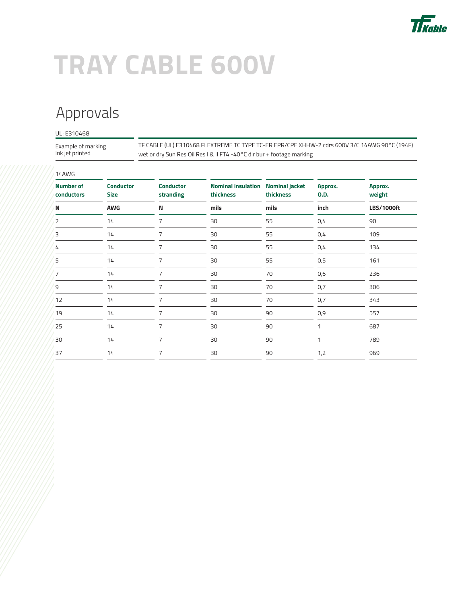

# **TRAY CABLE 600V**

## Approvals

### UL: E310468

Example of marking Ink jet printed

TF CABLE (UL) E310468 FLEXTREME TC TYPE TC-ER EPR/CPE XHHW-2 cdrs 600V 3/C 14AWG 90°C (194F) wet or dry Sun Res Oil Res I & II FT4 -40°C dir bur + footage marking

| 14AWG                          |                                 |                               |                                        |                                    |                        |                   |
|--------------------------------|---------------------------------|-------------------------------|----------------------------------------|------------------------------------|------------------------|-------------------|
| <b>Number of</b><br>conductors | <b>Conductor</b><br><b>Size</b> | <b>Conductor</b><br>stranding | <b>Nominal insulation</b><br>thickness | <b>Nominal jacket</b><br>thickness | Approx.<br><b>O.D.</b> | Approx.<br>weight |
| N                              | <b>AWG</b>                      | N                             | mils                                   | mils                               | inch                   | <b>LBS/1000ft</b> |
| 2                              | 14                              | 7                             | 30                                     | 55                                 | 0,4                    | 90                |
| 3                              | 14                              | 7                             | 30                                     | 55                                 | 0,4                    | 109               |
| 4                              | 14                              | 7                             | 30                                     | 55                                 | 0,4                    | 134               |
| 5                              | 14                              | 7                             | 30                                     | 55                                 | 0,5                    | 161               |
| 7                              | 14                              |                               | 30                                     | 70                                 | 0,6                    | 236               |
| 9                              | 14                              | 7                             | 30                                     | 70                                 | 0,7                    | 306               |
| 12                             | 14                              | 7                             | 30                                     | 70                                 | 0,7                    | 343               |
| 19                             | 14                              | 7                             | 30                                     | 90                                 | 0,9                    | 557               |
| 25                             | 14                              | 7                             | 30                                     | 90                                 | 1                      | 687               |
| 30                             | 14                              | 7                             | 30                                     | 90                                 |                        | 789               |
| 37                             | 14                              | 7                             | 30                                     | 90                                 | 1,2                    | 969               |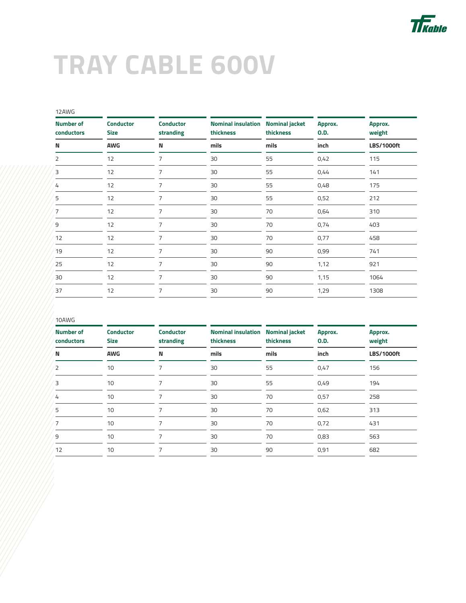

## **TRAY CABLE 600V**

| 12AWG                          |                                 |                               |                                        |                                    |                        |                   |
|--------------------------------|---------------------------------|-------------------------------|----------------------------------------|------------------------------------|------------------------|-------------------|
| <b>Number of</b><br>conductors | <b>Conductor</b><br><b>Size</b> | <b>Conductor</b><br>stranding | <b>Nominal insulation</b><br>thickness | <b>Nominal jacket</b><br>thickness | Approx.<br><b>O.D.</b> | Approx.<br>weight |
| N                              | AWG                             | N                             | mils                                   | mils                               | inch                   | <b>LBS/1000ft</b> |
| 2                              | 12                              | 7                             | 30                                     | 55                                 | 0,42                   | 115               |
| 3                              | 12                              | 7                             | 30                                     | 55                                 | 0,44                   | 141               |
| 4                              | 12                              | 7                             | 30                                     | 55                                 | 0,48                   | 175               |
| 5                              | 12                              | 7                             | 30                                     | 55                                 | 0,52                   | 212               |
| 7                              | 12                              | 7                             | 30                                     | 70                                 | 0,64                   | 310               |
| 9                              | 12                              | 7                             | 30                                     | 70                                 | 0,74                   | 403               |
| 12                             | 12                              | 7                             | 30                                     | 70                                 | 0,77                   | 458               |
| 19                             | 12                              | 7                             | 30                                     | 90                                 | 0,99                   | 741               |
| 25                             | 12                              | 7                             | 30                                     | 90                                 | 1,12                   | 921               |
| 30                             | 12                              | 7                             | 30                                     | 90                                 | 1,15                   | 1064              |
| 37                             | 12                              | 7                             | 30                                     | 90                                 | 1,29                   | 1308              |
|                                |                                 |                               |                                        |                                    |                        |                   |

#### 10AWG

| <b>Number of</b><br>conductors | <b>Conductor</b><br><b>Size</b> | <b>Conductor</b><br>stranding | <b>Nominal insulation</b><br>thickness | <b>Nominal jacket</b><br>thickness | Approx.<br>O.D. | Approx.<br>weight |
|--------------------------------|---------------------------------|-------------------------------|----------------------------------------|------------------------------------|-----------------|-------------------|
| N                              | <b>AWG</b>                      | N                             | mils                                   | mils                               | inch            | <b>LBS/1000ft</b> |
| 2                              | 10                              | 7                             | 30                                     | 55                                 | 0,47            | 156               |
| 3                              | 10                              | 7                             | 30                                     | 55                                 | 0,49            | 194               |
| 4                              | 10                              | 7                             | 30                                     | 70                                 | 0,57            | 258               |
| 5                              | 10                              |                               | 30                                     | 70                                 | 0,62            | 313               |
| 7                              | 10                              |                               | 30                                     | 70                                 | 0,72            | 431               |
| 9                              | 10                              |                               | 30                                     | 70                                 | 0,83            | 563               |
| 12                             | 10                              |                               | 30                                     | 90                                 | 0,91            | 682               |
|                                |                                 |                               |                                        |                                    |                 |                   |